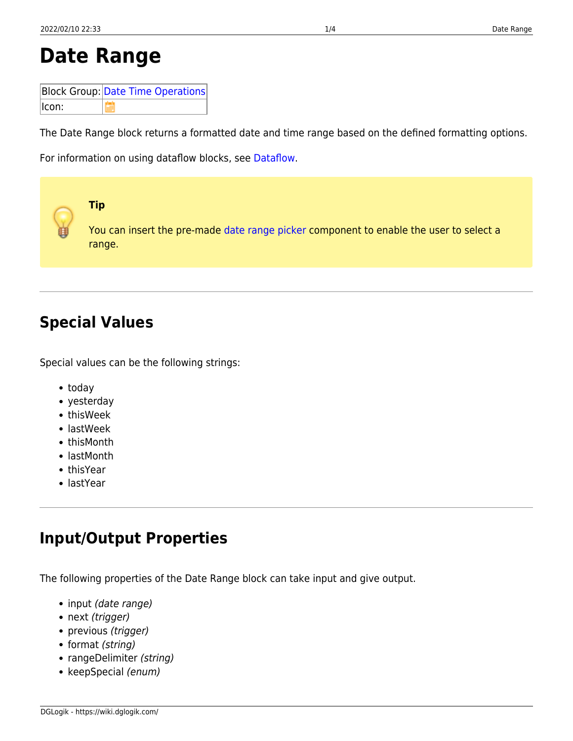# **Date Range**

|       | <b>Block Group: Date Time Operations</b> |
|-------|------------------------------------------|
| lcon: |                                          |

The Date Range block returns a formatted date and time range based on the defined formatting options.

For information on using dataflow blocks, see [Dataflow](https://wiki.dglogik.com/dglux5_wiki:dataflow:home).



## **Special Values**

Special values can be the following strings:

- today
- yesterday
- thisWeek
- lastWeek
- thisMonth
- lastMonth
- thisYear
- lastYear

## **Input/Output Properties**

The following properties of the Date Range block can take input and give output.

- input (date range)
- next (trigger)
- previous (trigger)
- format (string)
- rangeDelimiter (string)
- keepSpecial (enum)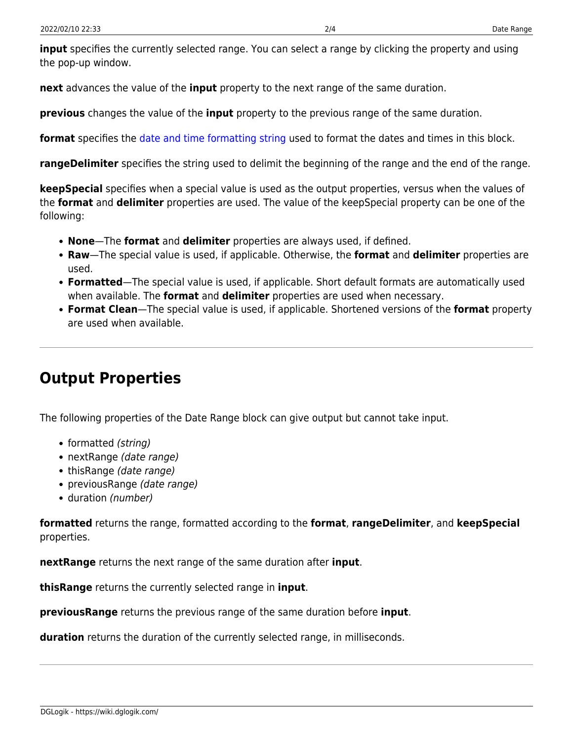**input** specifies the currently selected range. You can select a range by clicking the property and using the pop-up window.

**next** advances the value of the **input** property to the next range of the same duration.

**previous** changes the value of the **input** property to the previous range of the same duration.

**format** specifies the [date and time formatting string](https://wiki.dglogik.com/dglux5_wiki:dgscript:home#supported_dateformat_patterns) used to format the dates and times in this block.

**rangeDelimiter** specifies the string used to delimit the beginning of the range and the end of the range.

**keepSpecial** specifies when a special value is used as the output properties, versus when the values of the **format** and **delimiter** properties are used. The value of the keepSpecial property can be one of the following:

- **None**—The **format** and **delimiter** properties are always used, if defined.
- **Raw**—The special value is used, if applicable. Otherwise, the **format** and **delimiter** properties are used.
- **Formatted**—The special value is used, if applicable. Short default formats are automatically used when available. The **format** and **delimiter** properties are used when necessary.
- **Format Clean**—The special value is used, if applicable. Shortened versions of the **format** property are used when available.

### **Output Properties**

The following properties of the Date Range block can give output but cannot take input.

- formatted (string)
- nextRange (date range)
- thisRange (date range)
- previousRange (date range)
- duration (number)

**formatted** returns the range, formatted according to the **format**, **rangeDelimiter**, and **keepSpecial** properties.

**nextRange** returns the next range of the same duration after **input**.

**thisRange** returns the currently selected range in **input**.

**previousRange** returns the previous range of the same duration before **input**.

**duration** returns the duration of the currently selected range, in milliseconds.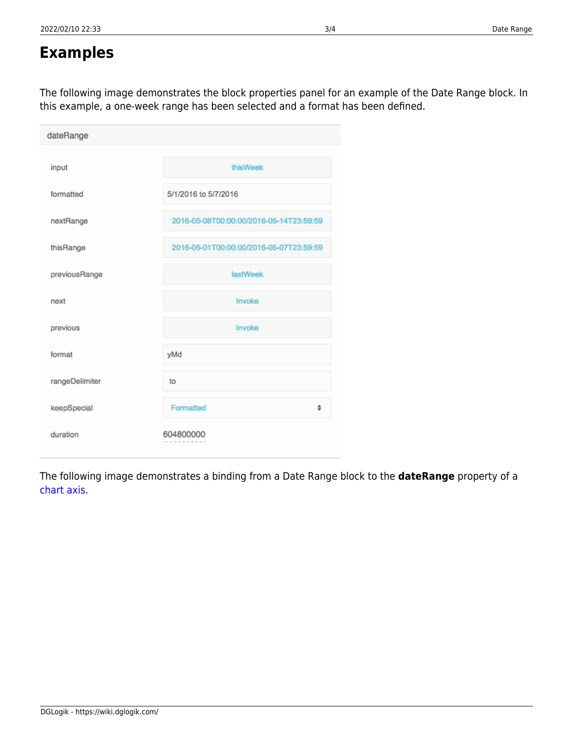### **Examples**

The following image demonstrates the block properties panel for an example of the Date Range block. In this example, a one-week range has been selected and a format has been defined.

| dateRange      |                                         |
|----------------|-----------------------------------------|
| input          | thisWeek                                |
| formatted      | 5/1/2016 to 5/7/2016                    |
| nextRange      | 2016-05-08T00:00:00/2016-05-14T23:59:59 |
| thisRange      | 2016-05-01T00:00:00/2016-05-07T23:59:59 |
| previousRange  | <b>lastWeek</b>                         |
| next           | Invoke                                  |
| previous       | Invoke                                  |
| format         | yMd                                     |
| rangeDelimiter | to                                      |
| keepSpecial    | Formatted<br>÷                          |
| duration       | 604800000                               |

The following image demonstrates a binding from a Date Range block to the **dateRange** property of a [chart axis](https://wiki.dglogik.com/dglux5_wiki:widgets_and_property_inspector:property_inspector:charts:axis).